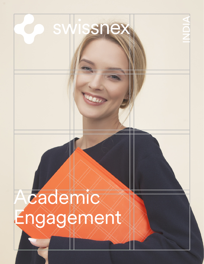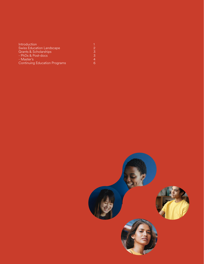| Introduction                         |   |
|--------------------------------------|---|
| <b>Swiss Education Landscape</b>     | 2 |
| <b>Grants &amp; Scholarships</b>     | 3 |
| - PhDs & Post-docs                   | 3 |
| - Master's                           | 4 |
| <b>Continuing Education Programs</b> | 6 |

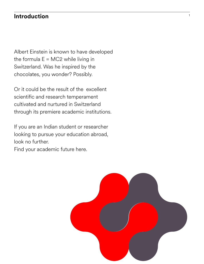## **Introduction** <sup>1</sup>

Albert Einstein is known to have developed the formula  $E = MC2$  while living in Switzerland. Was he inspired by the chocolates, you wonder? Possibly.

Or it could be the result of the excellent scientific and research temperament cultivated and nurtured in Switzerland through its premiere academic institutions.

If you are an Indian student or researcher looking to pursue your education abroad, look no further.

Find your academic future here.

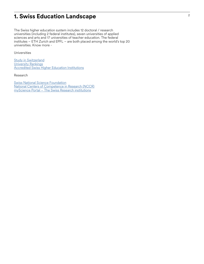## <sup>2</sup> **1. Swiss Education Landscape**

The Swiss higher education system includes 12 doctoral / research universities (including 2 federal institutes), seven universities of applied sciences and arts and 17 universities of teacher education. The federal institutes – ETH Zurich and EPFL – are both placed among the world's top 20 universities. Know more -

Universities

**[Study in Switzerland](https://www.studyinswitzerland.plus/)** [University Rankings](https://www.universityrankings.ch) **[Accredited Swiss Higher Education Institutions](https://www.swissuniversities.ch/en/topics/studying/recognised-or-accredited-swiss-higher-education-institutions)** 

Research

[Swiss National Science Foundation](http://www.snf.ch/en/Pages/default.aspx) [National Centers of Competence in Research \(NCCR\)](http://www.snf.ch/en/researchinFocus/nccr/Pages/default.aspx) [myScience Portal – The Swiss Research institutions](https://www.myscience.ch/en/directory/research_institutions)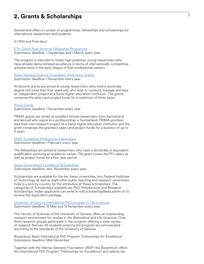### <sup>3</sup> **2. Grants & Scholarships**

Switzerland offers a number of programmes, fellowships and scholarships for international researchers and students.

2.1 PhD and Post-docs

[ETH Zurich Post-doctoral Fellowship Programme](https://ethz.ch/en/research/research-promotion/eth-fellowships.html) Submission deadline: 1 September and 1 March every year

The program is intended to foster high-potential, young researchers who have already demonstrated excellence in terms of internationally competitive achievements in the early stages of their professional careers.

[Swiss National Science Foundation Ambizione Grants](http://www.snf.ch/en/funding/careers/ambizione/Pages/default.aspx)

Submission deadline: 1 November every year

Ambizione grants are aimed at young researchers (who hold a doctorate degree not more than four years old) who wish to conduct, manage and lead an independent project at a Swiss higher education institution. The grants comprise the salary and project funds for a maximum of three years.

[Prima Grants](http://www.snf.ch/en/funding/careers/prima/Pages/default.aspx) Submission deadline: 1 November every year

PRIMA grants are aimed at excellent female researchers from Switzerland and abroad who aspire to a professorship in Switzerland. PRIMA grantees lead their own research project at a Swiss higher education institution and the grant comprises the grantee's salary and project funds for a duration of up to 5 years.

[SNSF Eccellenza Professorial Fellowships](http://www.snf.ch/en/funding/careers/eccellenza/Pages/default.aspx) Submission deadline: 1 February every year

The fellowships are aimed at researchers who have a doctorate or equivalent qualification pursuing an academic career. The grant covers the PI's salary as well as project funds for a five-year period

[Swiss Government Excellence Scholarships](https://www.sbfi.admin.ch/sbfi/en/home/education/scholarships-and-grants/swiss-government-excellence-scholarships.html) Submission deadline: mid- November every year

Scholarships are available for the ten Swiss universities, two Federal Institutes of Technology as well as eight other public teaching and research universities. India is a priority country for the attribution of these scholarships. The categories of Scholarships available are PhD, Postdoctoral and Research Scholarships. Indian applicants can write to ndh.scholarship@eda.admin.ch to receive the application package.

[University of Geneva International PhD program in Life Sciences](https://lifesciencesphd.unige.ch) Submission deadline: 15 May and 15 November every year

The Faculty of Sciences of the University of Geneva offers an outstanding research environment for studies in the Biomedical and Life Sciences. Over thirty research groups participate in the program offering a wide variety of research themes. All students entering the program are remunerated according to the standards of the University of Geneva.

Biozentrum Basel International PhD Program "Fellowships for Excellence" Submission deadline: Mid-December

Together with the Werner Siemens-Foundation (WSF) the Biozentrum offers the International PhD Program "Fellowships for Excellence" and selects ten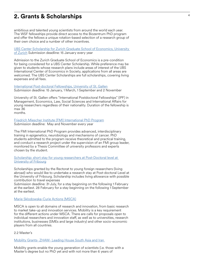## <sup>4</sup> **2. Grants & Scholarships**

ambitious and talented young scientists from around the world each year. The WSF fellowships provide direct access to the Biozentrum PhD program and offer the fellows a unique rotation-based selection of a research group of their own choice and a number of other incentives.

[UBS Center Scholarship for Zurich Graduate School of Economics, University](https://www.ubscenter.uzh.ch/en/scholarships.html)  [of Zurich](https://www.ubscenter.uzh.ch/en/scholarships.html) Submission deadline: 15 January every year

Admission to the Zurich Graduate School of Economics is a pre-condition for being considered for a UBS Center Scholarship. While preference may be given to students whose research plans include areas of interest of the UBS International Center of Economics in Society, applications from all areas are welcomed. The UBS Center Scholarships are full scholarships, covering living expenses and all fees.

[International Post-doctoral Fellowships, University of St. Gallen](https://www.unisg.ch/en/forschung/grantsoffice/foerderung/hochschulinterne-foerderung/gffpostdocfoerderung#:~:text=The%20%22International%20Postdoctoral%20Fellowships%22%20(,postdoctoral%20research%20and%20habilitation%2C%20respectively) Submission deadline: 15 January, 1 March, 1 September and 2 November

University of St. Gallen offers "International Postdoctoral Fellowships" (IPF) in Management, Economics, Law, Social Sciences and International Affairs for young researchers regardless of their nationality. Duration of the fellowship is max 36 months.

[Friedrich Miescher Institute \(FMI\) International PhD Program](https://www.fmi.ch/education-careers/programs/#phd-program) Submission deadline: May and November every year

The FMI International PhD Program provides advanced, interdisciplinary training in epigenetics, neurobiology and mechanisms of cancer. PhD students admitted to the program receive theoretical and practical training, and conduct a research project under the supervision of an FMI group leader, monitored by a Thesis Committee of university professors and experts chosen by the student.

Scholarship: short stay for young researchers at Post-Doctoral level at [University of Fribourg](http://www.fao.fudan.edu.cn/_upload/article/files/74/3b/408d49494defa92982a09cfbc93a/a1e796a8-d5aa-4b88-bed9-ead94734dc86.pdf)

Scholarships granted by the Rectorat to young foreign researchers (living abroad) who would like to undertake a research stay at Post-doctoral Level at the University of Fribourg. Scholarship includes living allowance with possible contribution to travel expenses

Submission deadline: 31 July, for a stay beginning on the following 1 February at the earliest. 28 February for a stay beginning on the following 1 September at the earliest.

#### [Marie Sklodowska-Curie Actions \(MSCA\)](https://www.euresearch.ch/en/european-programmes/horizon-2020/excellent-science/marie-sklodowska-curie-actions/)

MSCA is open to all domains of research and innovation, from basic research to market take-up and innovation services. Mobility is a key requirement for the different actions under MSCA. There are calls for proposals open to individual researchers and innovation staff, as well as to universities, research institutions, businesses (SMEs and large industry) and other socio-economic players from all countries.

#### 2.2 Master's

[Mobility Grants- ZHAW- Leading House South Asia and Iran](https://www.zhaw.ch/en/research/leading-house-south-asia-and-iran/) 

Mobility grants enable the young generation of scientists (i.e. those with a Master's degree but no PhD yet and with not more than 6 years of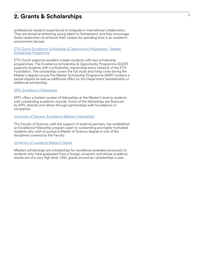## <sup>5</sup> **2. Grants & Scholarships**

professional research experience) to integrate in international collaboration. They are aimed at attracting young talent to Switzerland, and they encourage Swiss researchers to enhance their careers by spending time in an academic environment abroad.

[ETH Zurich Excellence Scholarship & Opportunity Programme / Master](https://ethz.ch/students/en/studies/financial/scholarships/excellencescholarship.html)  [Scholarship Programme](https://ethz.ch/students/en/studies/financial/scholarships/excellencescholarship.html)

ETH Zurich supports excellent master students with two scholarship programmes: The Excellence Scholarship & Opportunity Programme (ESOP) supports students with a scholarship, mentorship and a network of the ETH Foundation. The scholarship covers the full study and living costs during the Master's degree course.The Master Scholarship Programme (MSP) contains a partial stipend as well as additional offers by the Department (assistantship or additional scholarship).

#### [EPFL Excellence Fellowships](https://www.epfl.ch/education/studies/en/financing-study/grants/excellence-fellowships/)

EPFL offers a limited number of fellowships at the Master's level to students with outstanding academic records. Some of the fellowships are financed by EPFL directly and others through partnerships with foundations or companies.

#### [University of Geneva 'Excellence Masters Fellowships'](https://www.unige.ch/sciences/en/enseignements/formations/masters/excellencemasterfellowships/)

The Faculty of Science, with the support of external partners, has established an Excellence Fellowship program open to outstanding and highly motivated students who wish to pursue a Master of Science degree in one of the disciplines covered by the Faculty.

#### [University of Lausanne Master's Grants](https://unil.ch/international/en/home/menuinst/etudiants-internationaux/etudiantes-internationaux-reguliers/bourses-master-de-lunil.html)

Masters scholarships are scholarships for excellence awarded exclusively to students who have graduated from a foreign university and whose academic results are of a very high level. UNIL grants around ten scholarships a year.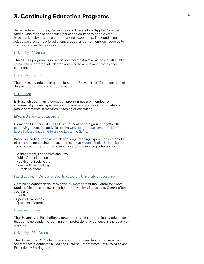## <sup>6</sup> **3. Continuing Education Programs**

Swiss Federal Institutes, Universities and University of Applied Sciences offer a wide range of continuing education courses to people who have a university degree and professional experience. The continuing education programs offered at universities range from one-day courses to comprehensive degrees / diplomas.

#### [University of Geneva](https://www.unige.ch/formcont/en/programmes/types/programmes-in-english/)

The degree programmes are first and foremost aimed at individuals holding at least an undergraduate degree and who have relevant professional experience.

#### [University of Zurich](https://www.weiterbildung.uzh.ch/en/englishcourses.html)

The continuing education curriculum of the University of Zurich consists of degree programs and short courses.

#### [ETH Zurich](https://sce.ethz.ch/en/programmes-and-courses.html)

ETH Zurich's continuing education programmes are intended for academically trained specialists and managers who work for private and public enterprises in research, teaching or consulting.

#### [EPFL & University of Lausanne](https://www.formation-continue-unil-epfl.ch/en/)

Formation Continue UNIL-EPFL is a foundation that groups together the continuing education activities of the [University of Lausanne \(UNIL\)](https://www.unil.ch/index.html) and the [Ecole Polytechnique Fédérale de Lausanne \(EPFL\).](https://www.epfl.ch/en/)

Based on leading-edge research and long-standing experience in the field of university continuing education, these two **Hautes Ecoles Universitaires** collaborate to offer programmes of a very high level to professionals.

- Management, Economics and Law
- Public Administration
- Health and Social Care
- Science & Technology
- Human Sciences

[Interdisciplinary Centre for Sports Research, University of Lausanne](https://www.unil.ch/centre-sport/en/home/menuinst/formations-continues.html)

Continuing education courses given by members of the Centre for Sport Studies. Diplomas are awarded by the University of Lausanne. Centre offers courses on

- Health
- Sports Psychology
- Sports management

#### [University of Basel](https://www.unibas.ch/en/Continuing-Education.html)

The University of Basel offers a range of programs for continuing education that combine academic learning with professional experience in the best way possible.

#### [University of St. Gallen](https://www.es.unisg.ch/en)

The University of St.Gallen offers over 100 courses: from short seminars, conferences, Certificate (CAS) and Diploma Programmes (DAS) to MBA and Executive MBA degrees.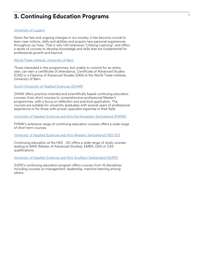## <sup>7</sup> **3. Continuing Education Programs**

#### [University of Lugano](https://www.usi.ch/en/education/lifelong-learning)

Given the fast and ongoing changes in our society, it has become crucial to learn new notions, skills and abilities and acquire new personal experiences throughout our lives. That is why USI embraces "Lifelong Learning", and offers a series of courses to develop knowledge and skills that are fundamental for professional growth and beyond.

[World Trade Institute, University of Bern](https://www.wti.org/education/other/cas-das-programmes/)

Those interested in the programmes, but unable to commit for an entire year, can earn a certificate of attendance, Certificate of Advanced Studies (CAS) or a Diploma of Advanced Studies (DAS) at the World Trade Institute, University of Bern.

[Zurich University of Applied Sciences \(ZHAW\)](https://www.zhaw.ch/en/continuing-education/)

ZHAW offers practice-oriented and scientifically based continuing education courses, from short courses to comprehensive professional Master's programmes, with a focus on reflection and practical application. The courses are suitable for university graduates with several years of professional experience or for those with proven specialist expertise in their field.

[University of Applied Sciences and Arts Northwestern Switzerland \(FHNW\)](https://www.fhnw.ch/en/continuing-education)

FHNW's extensive range of continuing education courses offers a wide range [o](https://www.hes-so.ch/en/continuing-education-165.html)f short term courses.

[University of Applied Sciences and Arts Western Switzerland \(HES-SO\)](https://www.hes-so.ch/en/continuing-education-165.html)

Continuing education at the HES-SO offers a wide range of study courses leading to MAS (Master of Advanced Studies), EMBA, DAS or CAS qualifications.

[University of Applied Sciences and Arts Southern Switzerland \(SUPSI\)](https://www.supsi.ch/fc/offerta-formativa/advanced-studies.html)

SUPSI's continuing education program offers courses from 15 disciplines including courses on management, leadership, machine learning among others